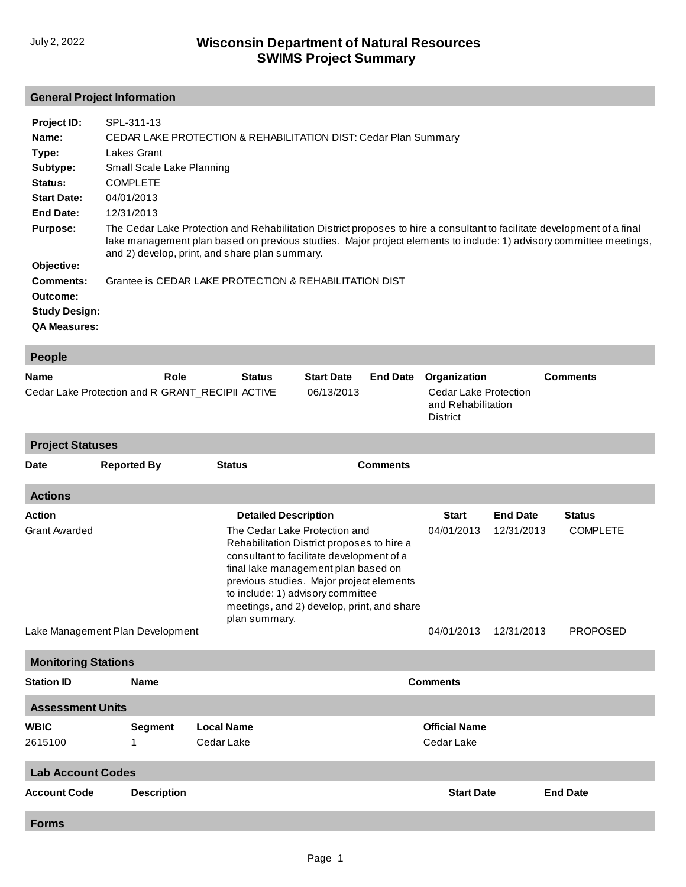## **General Project Information**

| Project ID:          | SPL-311-13                                                                                                                                                                                                                                                                                       |
|----------------------|--------------------------------------------------------------------------------------------------------------------------------------------------------------------------------------------------------------------------------------------------------------------------------------------------|
| Name:                | CEDAR LAKE PROTECTION & REHABILITATION DIST: Cedar Plan Summary                                                                                                                                                                                                                                  |
| Type:                | Lakes Grant                                                                                                                                                                                                                                                                                      |
| Subtype:             | Small Scale Lake Planning                                                                                                                                                                                                                                                                        |
| Status:              | <b>COMPLETE</b>                                                                                                                                                                                                                                                                                  |
| <b>Start Date:</b>   | 04/01/2013                                                                                                                                                                                                                                                                                       |
| End Date:            | 12/31/2013                                                                                                                                                                                                                                                                                       |
| <b>Purpose:</b>      | The Cedar Lake Protection and Rehabilitation District proposes to hire a consultant to facilitate development of a final<br>lake management plan based on previous studies. Major project elements to include: 1) advisory committee meetings,<br>and 2) develop, print, and share plan summary. |
| Objective:           |                                                                                                                                                                                                                                                                                                  |
| Comments:            | Grantee is CEDAR LAKE PROTECTION & REHABILITATION DIST                                                                                                                                                                                                                                           |
| Outcome:             |                                                                                                                                                                                                                                                                                                  |
| <b>Study Design:</b> |                                                                                                                                                                                                                                                                                                  |
| <b>QA Measures:</b>  |                                                                                                                                                                                                                                                                                                  |

| <b>People</b>                                                           |                                  |                                 |                                                                                                                                                                                                                                                                                                                                                |                 |                                                                                       |                                             |                                                     |  |  |
|-------------------------------------------------------------------------|----------------------------------|---------------------------------|------------------------------------------------------------------------------------------------------------------------------------------------------------------------------------------------------------------------------------------------------------------------------------------------------------------------------------------------|-----------------|---------------------------------------------------------------------------------------|---------------------------------------------|-----------------------------------------------------|--|--|
| Role<br><b>Name</b><br>Cedar Lake Protection and R GRANT_RECIPII ACTIVE |                                  | <b>Status</b>                   | <b>Start Date</b><br><b>End Date</b><br>06/13/2013                                                                                                                                                                                                                                                                                             |                 | Organization<br><b>Cedar Lake Protection</b><br>and Rehabilitation<br><b>District</b> |                                             | <b>Comments</b>                                     |  |  |
| <b>Project Statuses</b>                                                 |                                  |                                 |                                                                                                                                                                                                                                                                                                                                                |                 |                                                                                       |                                             |                                                     |  |  |
| Date                                                                    | <b>Reported By</b>               | <b>Status</b>                   |                                                                                                                                                                                                                                                                                                                                                | <b>Comments</b> |                                                                                       |                                             |                                                     |  |  |
| <b>Actions</b>                                                          |                                  |                                 |                                                                                                                                                                                                                                                                                                                                                |                 |                                                                                       |                                             |                                                     |  |  |
| <b>Action</b><br><b>Grant Awarded</b>                                   | Lake Management Plan Development |                                 | <b>Detailed Description</b><br>The Cedar Lake Protection and<br>Rehabilitation District proposes to hire a<br>consultant to facilitate development of a<br>final lake management plan based on<br>previous studies. Major project elements<br>to include: 1) advisory committee<br>meetings, and 2) develop, print, and share<br>plan summary. |                 |                                                                                       | <b>End Date</b><br>12/31/2013<br>12/31/2013 | <b>Status</b><br><b>COMPLETE</b><br><b>PROPOSED</b> |  |  |
| <b>Monitoring Stations</b>                                              |                                  |                                 |                                                                                                                                                                                                                                                                                                                                                |                 |                                                                                       |                                             |                                                     |  |  |
| <b>Station ID</b>                                                       | <b>Name</b>                      |                                 |                                                                                                                                                                                                                                                                                                                                                |                 | <b>Comments</b>                                                                       |                                             |                                                     |  |  |
| <b>Assessment Units</b>                                                 |                                  |                                 |                                                                                                                                                                                                                                                                                                                                                |                 |                                                                                       |                                             |                                                     |  |  |
| <b>WBIC</b><br>2615100                                                  | <b>Segment</b><br>1              | <b>Local Name</b><br>Cedar Lake |                                                                                                                                                                                                                                                                                                                                                |                 | <b>Official Name</b><br>Cedar Lake                                                    |                                             |                                                     |  |  |
| <b>Lab Account Codes</b>                                                |                                  |                                 |                                                                                                                                                                                                                                                                                                                                                |                 |                                                                                       |                                             |                                                     |  |  |
| <b>Account Code</b>                                                     | <b>Description</b>               |                                 |                                                                                                                                                                                                                                                                                                                                                |                 | <b>Start Date</b>                                                                     |                                             | <b>End Date</b>                                     |  |  |
| <b>Forms</b>                                                            |                                  |                                 |                                                                                                                                                                                                                                                                                                                                                |                 |                                                                                       |                                             |                                                     |  |  |